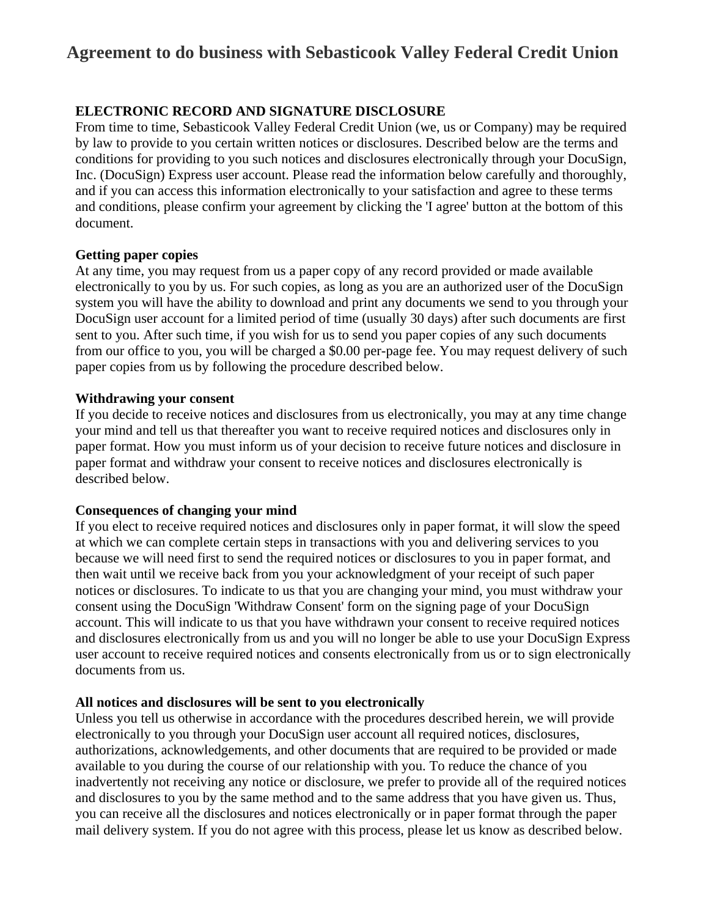# **Agreement to do business with Sebasticook Valley Federal Credit Union**

# **ELECTRONIC RECORD AND SIGNATURE DISCLOSURE**

From time to time, Sebasticook Valley Federal Credit Union (we, us or Company) may be required by law to provide to you certain written notices or disclosures. Described below are the terms and conditions for providing to you such notices and disclosures electronically through your DocuSign, Inc. (DocuSign) Express user account. Please read the information below carefully and thoroughly, and if you can access this information electronically to your satisfaction and agree to these terms and conditions, please confirm your agreement by clicking the 'I agree' button at the bottom of this document.

#### **Getting paper copies**

At any time, you may request from us a paper copy of any record provided or made available electronically to you by us. For such copies, as long as you are an authorized user of the DocuSign system you will have the ability to download and print any documents we send to you through your DocuSign user account for a limited period of time (usually 30 days) after such documents are first sent to you. After such time, if you wish for us to send you paper copies of any such documents from our office to you, you will be charged a \$0.00 per-page fee. You may request delivery of such paper copies from us by following the procedure described below.

#### **Withdrawing your consent**

If you decide to receive notices and disclosures from us electronically, you may at any time change your mind and tell us that thereafter you want to receive required notices and disclosures only in paper format. How you must inform us of your decision to receive future notices and disclosure in paper format and withdraw your consent to receive notices and disclosures electronically is described below.

## **Consequences of changing your mind**

If you elect to receive required notices and disclosures only in paper format, it will slow the speed at which we can complete certain steps in transactions with you and delivering services to you because we will need first to send the required notices or disclosures to you in paper format, and then wait until we receive back from you your acknowledgment of your receipt of such paper notices or disclosures. To indicate to us that you are changing your mind, you must withdraw your consent using the DocuSign 'Withdraw Consent' form on the signing page of your DocuSign account. This will indicate to us that you have withdrawn your consent to receive required notices and disclosures electronically from us and you will no longer be able to use your DocuSign Express user account to receive required notices and consents electronically from us or to sign electronically documents from us.

## **All notices and disclosures will be sent to you electronically**

Unless you tell us otherwise in accordance with the procedures described herein, we will provide electronically to you through your DocuSign user account all required notices, disclosures, authorizations, acknowledgements, and other documents that are required to be provided or made available to you during the course of our relationship with you. To reduce the chance of you inadvertently not receiving any notice or disclosure, we prefer to provide all of the required notices and disclosures to you by the same method and to the same address that you have given us. Thus, you can receive all the disclosures and notices electronically or in paper format through the paper mail delivery system. If you do not agree with this process, please let us know as described below.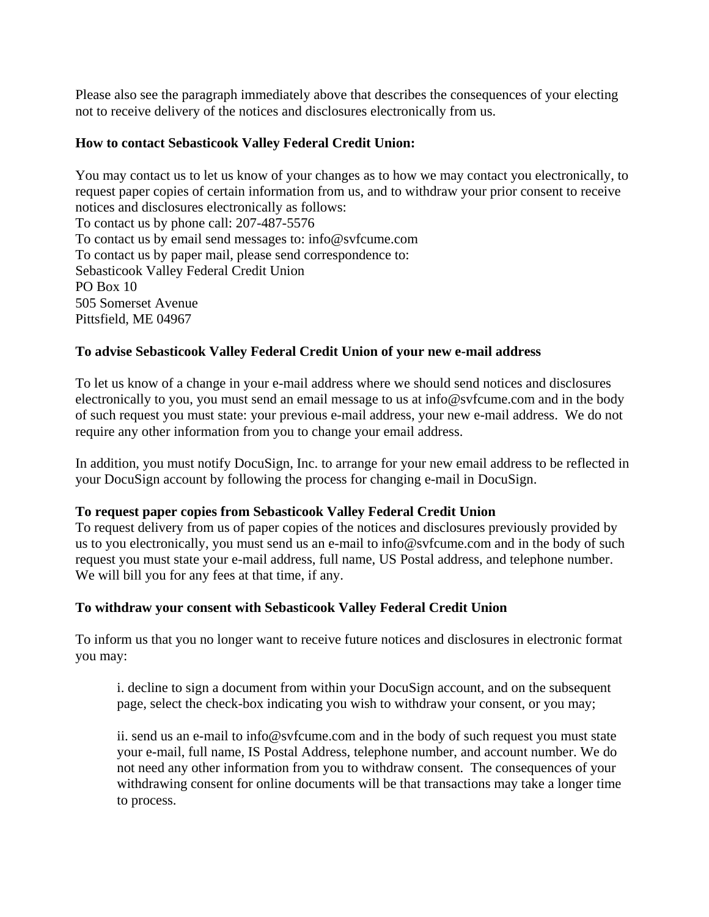Please also see the paragraph immediately above that describes the consequences of your electing not to receive delivery of the notices and disclosures electronically from us.

#### **How to contact Sebasticook Valley Federal Credit Union:**

You may contact us to let us know of your changes as to how we may contact you electronically, to request paper copies of certain information from us, and to withdraw your prior consent to receive notices and disclosures electronically as follows: To contact us by phone call: 207-487-5576 To contact us by email send messages to: info@svfcume.com To contact us by paper mail, please send correspondence to: Sebasticook Valley Federal Credit Union PO Box 10 505 Somerset Avenue Pittsfield, ME 04967

## **To advise Sebasticook Valley Federal Credit Union of your new e-mail address**

To let us know of a change in your e-mail address where we should send notices and disclosures electronically to you, you must send an email message to us at info@svfcume.com and in the body of such request you must state: your previous e-mail address, your new e-mail address. We do not require any other information from you to change your email address.

In addition, you must notify DocuSign, Inc. to arrange for your new email address to be reflected in your DocuSign account by following the process for changing e-mail in DocuSign.

#### **To request paper copies from Sebasticook Valley Federal Credit Union**

To request delivery from us of paper copies of the notices and disclosures previously provided by us to you electronically, you must send us an e-mail to info@svfcume.com and in the body of such request you must state your e-mail address, full name, US Postal address, and telephone number. We will bill you for any fees at that time, if any.

#### **To withdraw your consent with Sebasticook Valley Federal Credit Union**

To inform us that you no longer want to receive future notices and disclosures in electronic format you may:

i. decline to sign a document from within your DocuSign account, and on the subsequent page, select the check-box indicating you wish to withdraw your consent, or you may;

ii. send us an e-mail to info@svfcume.com and in the body of such request you must state your e-mail, full name, IS Postal Address, telephone number, and account number. We do not need any other information from you to withdraw consent. The consequences of your withdrawing consent for online documents will be that transactions may take a longer time to process.